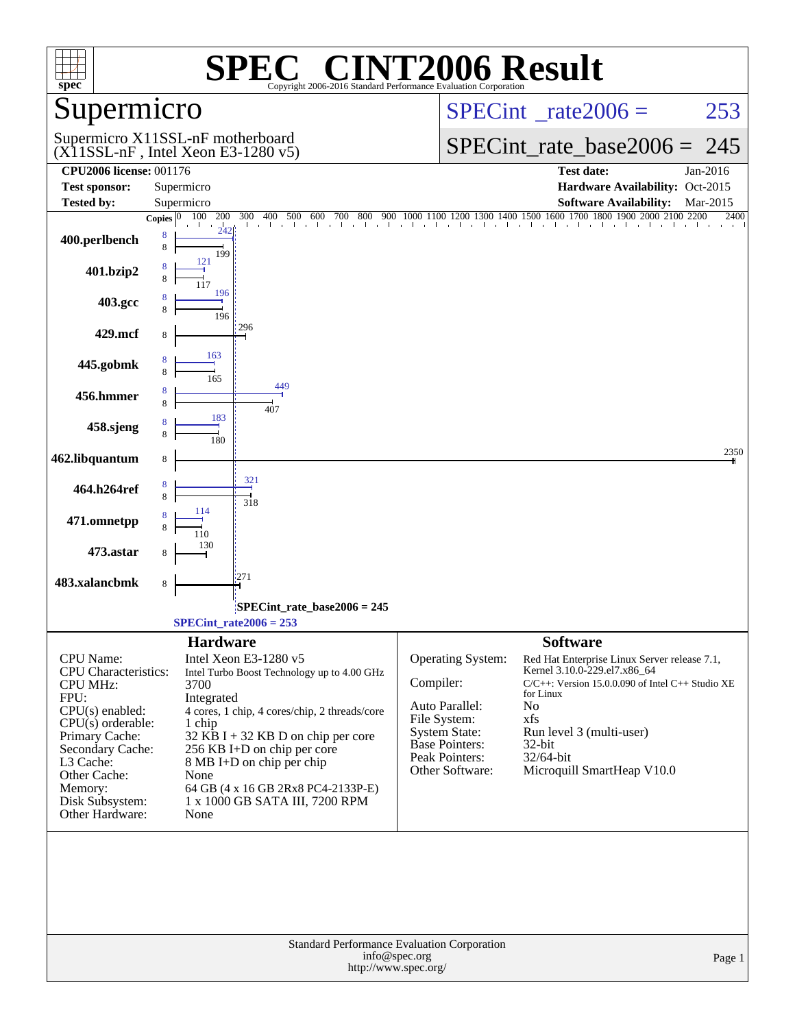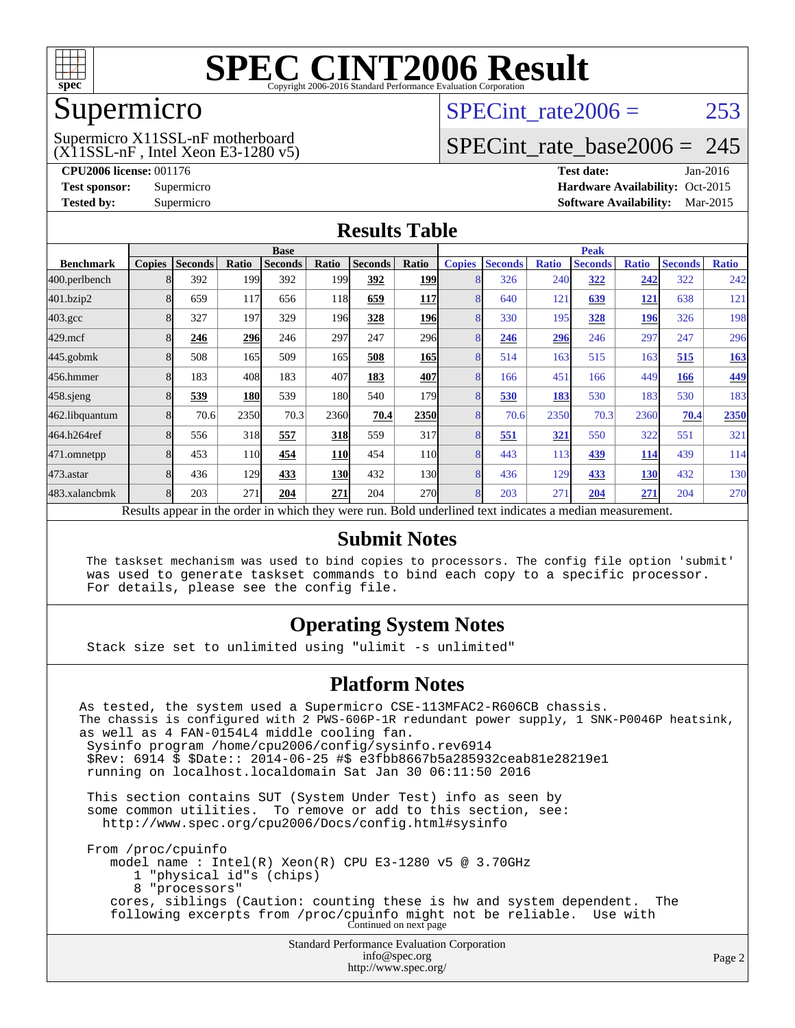

### Supermicro

#### $(X11SSL-nF$ , Intel Xeon E3-1280 v5) Supermicro X11SSL-nF motherboard

SPECint rate $2006 = 253$ 

## [SPECint\\_rate\\_base2006 =](http://www.spec.org/auto/cpu2006/Docs/result-fields.html#SPECintratebase2006) 245

**[CPU2006 license:](http://www.spec.org/auto/cpu2006/Docs/result-fields.html#CPU2006license)** 001176 **[Test date:](http://www.spec.org/auto/cpu2006/Docs/result-fields.html#Testdate)** Jan-2016 **[Test sponsor:](http://www.spec.org/auto/cpu2006/Docs/result-fields.html#Testsponsor)** Supermicro Supermicro **[Hardware Availability:](http://www.spec.org/auto/cpu2006/Docs/result-fields.html#HardwareAvailability)** Oct-2015 **[Tested by:](http://www.spec.org/auto/cpu2006/Docs/result-fields.html#Testedby)** Supermicro **Supermicro [Software Availability:](http://www.spec.org/auto/cpu2006/Docs/result-fields.html#SoftwareAvailability)** Mar-2015

#### **[Results Table](http://www.spec.org/auto/cpu2006/Docs/result-fields.html#ResultsTable)**

|                    | <b>Base</b>   |                |            |                                                   |            |                |                 | <b>Peak</b>                                         |                |              |                |              |                |              |
|--------------------|---------------|----------------|------------|---------------------------------------------------|------------|----------------|-----------------|-----------------------------------------------------|----------------|--------------|----------------|--------------|----------------|--------------|
| <b>Benchmark</b>   | <b>Copies</b> | <b>Seconds</b> | Ratio      | <b>Seconds</b>                                    | Ratio      | <b>Seconds</b> | Ratio           | <b>Copies</b>                                       | <b>Seconds</b> | <b>Ratio</b> | <b>Seconds</b> | <b>Ratio</b> | <b>Seconds</b> | <b>Ratio</b> |
| 400.perlbench      |               | 392            | 199        | 392                                               | 199        | 392            | <b>199</b>      | 8                                                   | 326            | 240          | 322            | 242          | 322            | 242          |
| 401.bzip2          |               | 659            | 117        | 656                                               | 118        | 659            | <u> 117  </u>   | 8                                                   | 640            | 121          | 639            | <u> 121</u>  | 638            | 121          |
| $403.\mathrm{gcc}$ |               | 327            | 197        | 329                                               | <b>196</b> | 328            | <b>196</b>      | 8                                                   | 330            | 195          | 328            | <u> 196</u>  | 326            | 198          |
| 429.mcf            |               | 246            | 296        | 246                                               | 297        | 247            | 296             | 8                                                   | 246            | 296          | 246            | 297          | 247            | 296          |
| $445$ .gobmk       |               | 508            | 165        | 509                                               | 165        | 508            | <b>165</b>      | 8                                                   | 514            | 163          | 515            | 163          | 515            | <u>163</u>   |
| 456.hmmer          |               | 183            | 408        | 183                                               | 407        | 183            | 407             | 8                                                   | 166            | 451          | 166            | 449          | 166            | 449          |
| $458$ .sjeng       |               | 539            | <b>180</b> | 539                                               | 180        | 540            | 179             | 8                                                   | 530            | 183          | 530            | 183          | 530            | 183          |
| 462.libquantum     |               | 70.6           | 2350       | 70.3                                              | 2360       | 70.4           | 2350            | 8                                                   | 70.6           | 2350         | 70.3           | 2360         | 70.4           | 2350         |
| 464.h264ref        |               | 556            | 318        | 557                                               | 318        | 559            | 317             | 8                                                   | 551            | 321          | 550            | 322          | 551            | 321          |
| 471.omnetpp        |               | 453            | 110        | 454                                               | <b>110</b> | 454            | 11 <sub>0</sub> | 8                                                   | 443            | 113          | 439            | 114          | 439            | 114          |
| 473.astar          |               | 436            | 129        | 433                                               | 130        | 432            | 130l            | 8                                                   | 436            | 129          | 433            | 130          | 432            | 130          |
| 483.xalancbmk      |               | 203            | 271        | 204                                               | 271        | 204            | 270             | 8                                                   | 203            | 271          | 204            | 271          | 204            | 270          |
|                    |               |                |            | Decute ennoan in the order in which they were mun |            |                |                 | Dold underlined text indicates a madian measurement |                |              |                |              |                |              |

Results appear in the [order in which they were run.](http://www.spec.org/auto/cpu2006/Docs/result-fields.html#RunOrder) Bold underlined text [indicates a median measurement.](http://www.spec.org/auto/cpu2006/Docs/result-fields.html#Median)

#### **[Submit Notes](http://www.spec.org/auto/cpu2006/Docs/result-fields.html#SubmitNotes)**

 The taskset mechanism was used to bind copies to processors. The config file option 'submit' was used to generate taskset commands to bind each copy to a specific processor. For details, please see the config file.

#### **[Operating System Notes](http://www.spec.org/auto/cpu2006/Docs/result-fields.html#OperatingSystemNotes)**

Stack size set to unlimited using "ulimit -s unlimited"

#### **[Platform Notes](http://www.spec.org/auto/cpu2006/Docs/result-fields.html#PlatformNotes)**

Standard Performance Evaluation Corporation [info@spec.org](mailto:info@spec.org) As tested, the system used a Supermicro CSE-113MFAC2-R606CB chassis. The chassis is configured with 2 PWS-606P-1R redundant power supply, 1 SNK-P0046P heatsink, as well as 4 FAN-0154L4 middle cooling fan. Sysinfo program /home/cpu2006/config/sysinfo.rev6914 \$Rev: 6914 \$ \$Date:: 2014-06-25 #\$ e3fbb8667b5a285932ceab81e28219e1 running on localhost.localdomain Sat Jan 30 06:11:50 2016 This section contains SUT (System Under Test) info as seen by some common utilities. To remove or add to this section, see: <http://www.spec.org/cpu2006/Docs/config.html#sysinfo> From /proc/cpuinfo model name : Intel(R) Xeon(R) CPU E3-1280 v5 @ 3.70GHz 1 "physical id"s (chips) 8 "processors" cores, siblings (Caution: counting these is hw and system dependent. The following excerpts from /proc/cpuinfo might not be reliable. Use with Continued on next page

<http://www.spec.org/>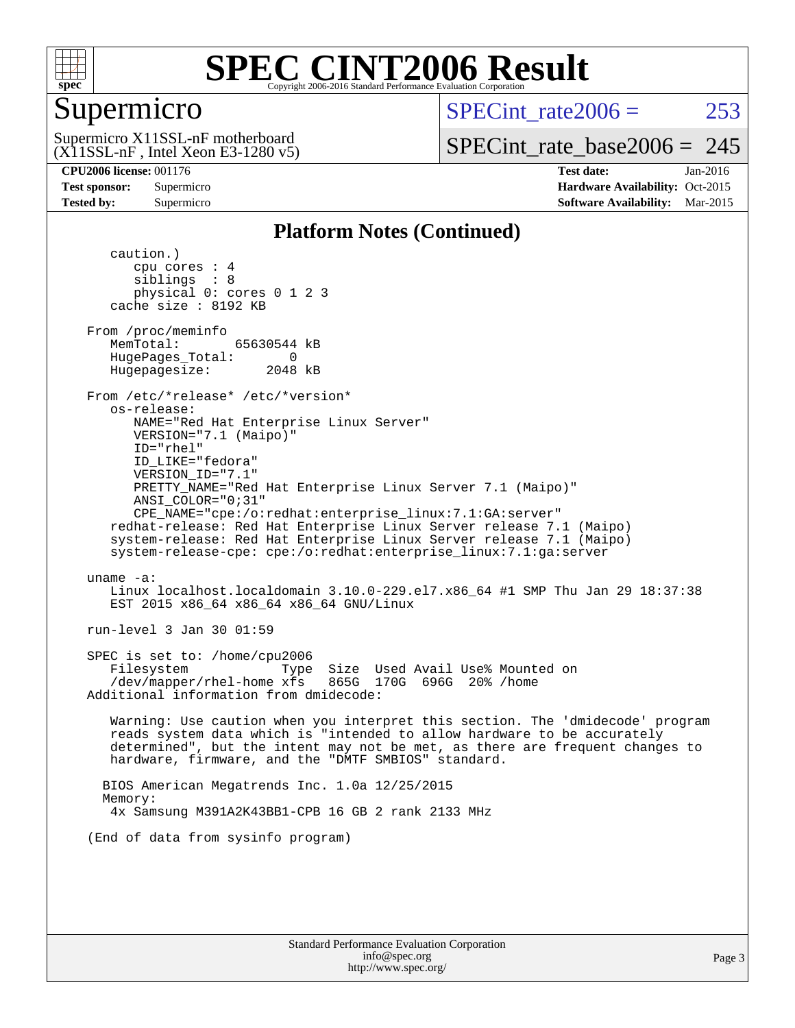

## Supermicro

SPECint rate $2006 = 253$ 

 $(X11SSL-nF,$  Intel Xeon E3-1280 v5) Supermicro X11SSL-nF motherboard

[SPECint\\_rate\\_base2006 =](http://www.spec.org/auto/cpu2006/Docs/result-fields.html#SPECintratebase2006) 245

**[CPU2006 license:](http://www.spec.org/auto/cpu2006/Docs/result-fields.html#CPU2006license)** 001176 **[Test date:](http://www.spec.org/auto/cpu2006/Docs/result-fields.html#Testdate)** Jan-2016 **[Test sponsor:](http://www.spec.org/auto/cpu2006/Docs/result-fields.html#Testsponsor)** Supermicro Supermicro **[Hardware Availability:](http://www.spec.org/auto/cpu2006/Docs/result-fields.html#HardwareAvailability)** Oct-2015 **[Tested by:](http://www.spec.org/auto/cpu2006/Docs/result-fields.html#Testedby)** Supermicro **Supermicro [Software Availability:](http://www.spec.org/auto/cpu2006/Docs/result-fields.html#SoftwareAvailability)** Mar-2015

#### **[Platform Notes \(Continued\)](http://www.spec.org/auto/cpu2006/Docs/result-fields.html#PlatformNotes)**

 caution.) cpu cores : 4 siblings : 8 physical 0: cores 0 1 2 3 cache size : 8192 KB From /proc/meminfo MemTotal: 65630544 kB HugePages\_Total: 0<br>Hugepagesize: 2048 kB Hugepagesize: From /etc/\*release\* /etc/\*version\* os-release: NAME="Red Hat Enterprise Linux Server" VERSION="7.1 (Maipo)" ID="rhel" ID\_LIKE="fedora" VERSION\_ID="7.1" PRETTY\_NAME="Red Hat Enterprise Linux Server 7.1 (Maipo)" ANSI\_COLOR="0;31" CPE\_NAME="cpe:/o:redhat:enterprise\_linux:7.1:GA:server" redhat-release: Red Hat Enterprise Linux Server release 7.1 (Maipo) system-release: Red Hat Enterprise Linux Server release 7.1 (Maipo) system-release-cpe: cpe:/o:redhat:enterprise\_linux:7.1:ga:server uname -a: Linux localhost.localdomain 3.10.0-229.el7.x86\_64 #1 SMP Thu Jan 29 18:37:38 EST 2015 x86\_64 x86\_64 x86\_64 GNU/Linux run-level 3 Jan 30 01:59 SPEC is set to: /home/cpu2006 Filesystem Type Size Used Avail Use% Mounted on  $/$ dev/mapper/rhel-home xfs Additional information from dmidecode: Warning: Use caution when you interpret this section. The 'dmidecode' program reads system data which is "intended to allow hardware to be accurately determined", but the intent may not be met, as there are frequent changes to hardware, firmware, and the "DMTF SMBIOS" standard. BIOS American Megatrends Inc. 1.0a 12/25/2015 Memory: 4x Samsung M391A2K43BB1-CPB 16 GB 2 rank 2133 MHz (End of data from sysinfo program)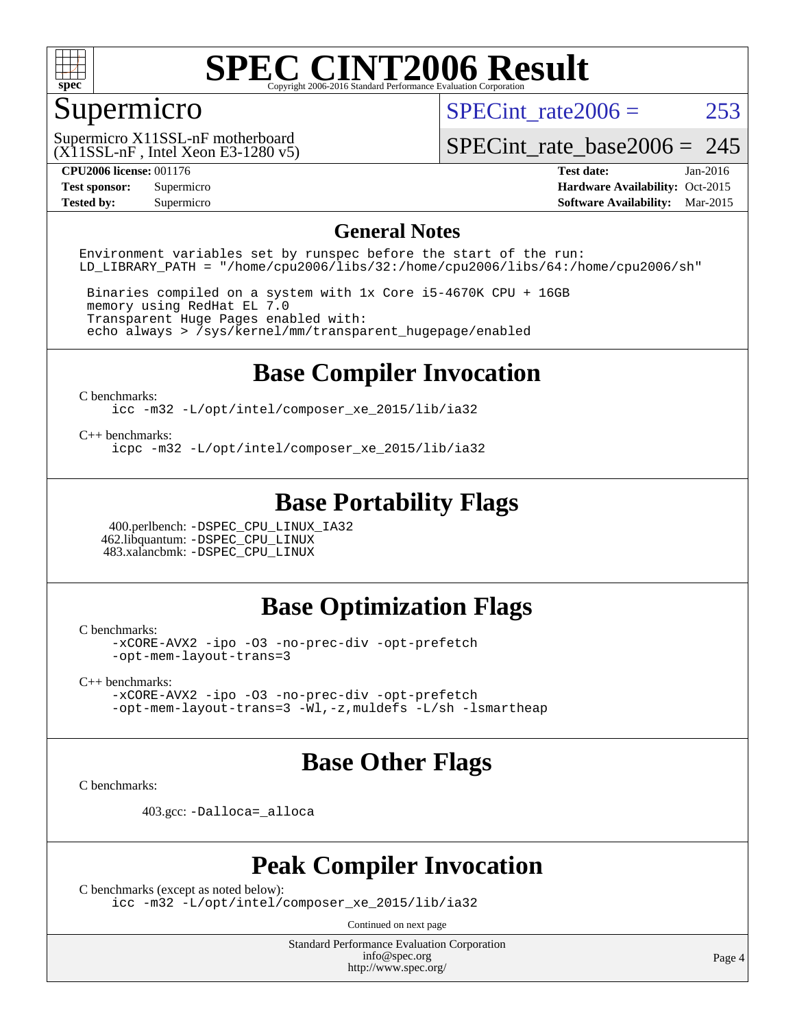

### Supermicro

SPECint rate $2006 = 253$ 

 $(X11SSL-nF$ , Intel Xeon E3-1280 v5) Supermicro X11SSL-nF motherboard

[SPECint\\_rate\\_base2006 =](http://www.spec.org/auto/cpu2006/Docs/result-fields.html#SPECintratebase2006) 245

**[CPU2006 license:](http://www.spec.org/auto/cpu2006/Docs/result-fields.html#CPU2006license)** 001176 **[Test date:](http://www.spec.org/auto/cpu2006/Docs/result-fields.html#Testdate)** Jan-2016 **[Test sponsor:](http://www.spec.org/auto/cpu2006/Docs/result-fields.html#Testsponsor)** Supermicro Supermicro **[Hardware Availability:](http://www.spec.org/auto/cpu2006/Docs/result-fields.html#HardwareAvailability)** Oct-2015 **[Tested by:](http://www.spec.org/auto/cpu2006/Docs/result-fields.html#Testedby)** Supermicro **Supermicro [Software Availability:](http://www.spec.org/auto/cpu2006/Docs/result-fields.html#SoftwareAvailability)** Mar-2015

#### **[General Notes](http://www.spec.org/auto/cpu2006/Docs/result-fields.html#GeneralNotes)**

Environment variables set by runspec before the start of the run: LD LIBRARY PATH = "/home/cpu2006/libs/32:/home/cpu2006/libs/64:/home/cpu2006/sh"

 Binaries compiled on a system with 1x Core i5-4670K CPU + 16GB memory using RedHat EL 7.0 Transparent Huge Pages enabled with: echo always > /sys/kernel/mm/transparent\_hugepage/enabled

### **[Base Compiler Invocation](http://www.spec.org/auto/cpu2006/Docs/result-fields.html#BaseCompilerInvocation)**

[C benchmarks](http://www.spec.org/auto/cpu2006/Docs/result-fields.html#Cbenchmarks):

[icc -m32 -L/opt/intel/composer\\_xe\\_2015/lib/ia32](http://www.spec.org/cpu2006/results/res2016q1/cpu2006-20160206-38993.flags.html#user_CCbase_intel_icc_011b86df29f8c679b747245588698a4d)

[C++ benchmarks:](http://www.spec.org/auto/cpu2006/Docs/result-fields.html#CXXbenchmarks)

[icpc -m32 -L/opt/intel/composer\\_xe\\_2015/lib/ia32](http://www.spec.org/cpu2006/results/res2016q1/cpu2006-20160206-38993.flags.html#user_CXXbase_intel_icpc_c2c99686a1a582c3e0de0b4806b02cea)

### **[Base Portability Flags](http://www.spec.org/auto/cpu2006/Docs/result-fields.html#BasePortabilityFlags)**

 400.perlbench: [-DSPEC\\_CPU\\_LINUX\\_IA32](http://www.spec.org/cpu2006/results/res2016q1/cpu2006-20160206-38993.flags.html#b400.perlbench_baseCPORTABILITY_DSPEC_CPU_LINUX_IA32) 462.libquantum: [-DSPEC\\_CPU\\_LINUX](http://www.spec.org/cpu2006/results/res2016q1/cpu2006-20160206-38993.flags.html#b462.libquantum_baseCPORTABILITY_DSPEC_CPU_LINUX) 483.xalancbmk: [-DSPEC\\_CPU\\_LINUX](http://www.spec.org/cpu2006/results/res2016q1/cpu2006-20160206-38993.flags.html#b483.xalancbmk_baseCXXPORTABILITY_DSPEC_CPU_LINUX)

#### **[Base Optimization Flags](http://www.spec.org/auto/cpu2006/Docs/result-fields.html#BaseOptimizationFlags)**

[C benchmarks](http://www.spec.org/auto/cpu2006/Docs/result-fields.html#Cbenchmarks):

[-xCORE-AVX2](http://www.spec.org/cpu2006/results/res2016q1/cpu2006-20160206-38993.flags.html#user_CCbase_f-xAVX2_5f5fc0cbe2c9f62c816d3e45806c70d7) [-ipo](http://www.spec.org/cpu2006/results/res2016q1/cpu2006-20160206-38993.flags.html#user_CCbase_f-ipo) [-O3](http://www.spec.org/cpu2006/results/res2016q1/cpu2006-20160206-38993.flags.html#user_CCbase_f-O3) [-no-prec-div](http://www.spec.org/cpu2006/results/res2016q1/cpu2006-20160206-38993.flags.html#user_CCbase_f-no-prec-div) [-opt-prefetch](http://www.spec.org/cpu2006/results/res2016q1/cpu2006-20160206-38993.flags.html#user_CCbase_f-opt-prefetch) [-opt-mem-layout-trans=3](http://www.spec.org/cpu2006/results/res2016q1/cpu2006-20160206-38993.flags.html#user_CCbase_f-opt-mem-layout-trans_a7b82ad4bd7abf52556d4961a2ae94d5)

[C++ benchmarks:](http://www.spec.org/auto/cpu2006/Docs/result-fields.html#CXXbenchmarks)

[-xCORE-AVX2](http://www.spec.org/cpu2006/results/res2016q1/cpu2006-20160206-38993.flags.html#user_CXXbase_f-xAVX2_5f5fc0cbe2c9f62c816d3e45806c70d7) [-ipo](http://www.spec.org/cpu2006/results/res2016q1/cpu2006-20160206-38993.flags.html#user_CXXbase_f-ipo) [-O3](http://www.spec.org/cpu2006/results/res2016q1/cpu2006-20160206-38993.flags.html#user_CXXbase_f-O3) [-no-prec-div](http://www.spec.org/cpu2006/results/res2016q1/cpu2006-20160206-38993.flags.html#user_CXXbase_f-no-prec-div) [-opt-prefetch](http://www.spec.org/cpu2006/results/res2016q1/cpu2006-20160206-38993.flags.html#user_CXXbase_f-opt-prefetch) [-opt-mem-layout-trans=3](http://www.spec.org/cpu2006/results/res2016q1/cpu2006-20160206-38993.flags.html#user_CXXbase_f-opt-mem-layout-trans_a7b82ad4bd7abf52556d4961a2ae94d5) [-Wl,-z,muldefs](http://www.spec.org/cpu2006/results/res2016q1/cpu2006-20160206-38993.flags.html#user_CXXbase_link_force_multiple1_74079c344b956b9658436fd1b6dd3a8a) [-L/sh -lsmartheap](http://www.spec.org/cpu2006/results/res2016q1/cpu2006-20160206-38993.flags.html#user_CXXbase_SmartHeap_32f6c82aa1ed9c52345d30cf6e4a0499)

### **[Base Other Flags](http://www.spec.org/auto/cpu2006/Docs/result-fields.html#BaseOtherFlags)**

[C benchmarks](http://www.spec.org/auto/cpu2006/Docs/result-fields.html#Cbenchmarks):

403.gcc: [-Dalloca=\\_alloca](http://www.spec.org/cpu2006/results/res2016q1/cpu2006-20160206-38993.flags.html#b403.gcc_baseEXTRA_CFLAGS_Dalloca_be3056838c12de2578596ca5467af7f3)

#### **[Peak Compiler Invocation](http://www.spec.org/auto/cpu2006/Docs/result-fields.html#PeakCompilerInvocation)**

[C benchmarks \(except as noted below\)](http://www.spec.org/auto/cpu2006/Docs/result-fields.html#Cbenchmarksexceptasnotedbelow):

[icc -m32 -L/opt/intel/composer\\_xe\\_2015/lib/ia32](http://www.spec.org/cpu2006/results/res2016q1/cpu2006-20160206-38993.flags.html#user_CCpeak_intel_icc_011b86df29f8c679b747245588698a4d)

Continued on next page

Standard Performance Evaluation Corporation [info@spec.org](mailto:info@spec.org) <http://www.spec.org/>

Page 4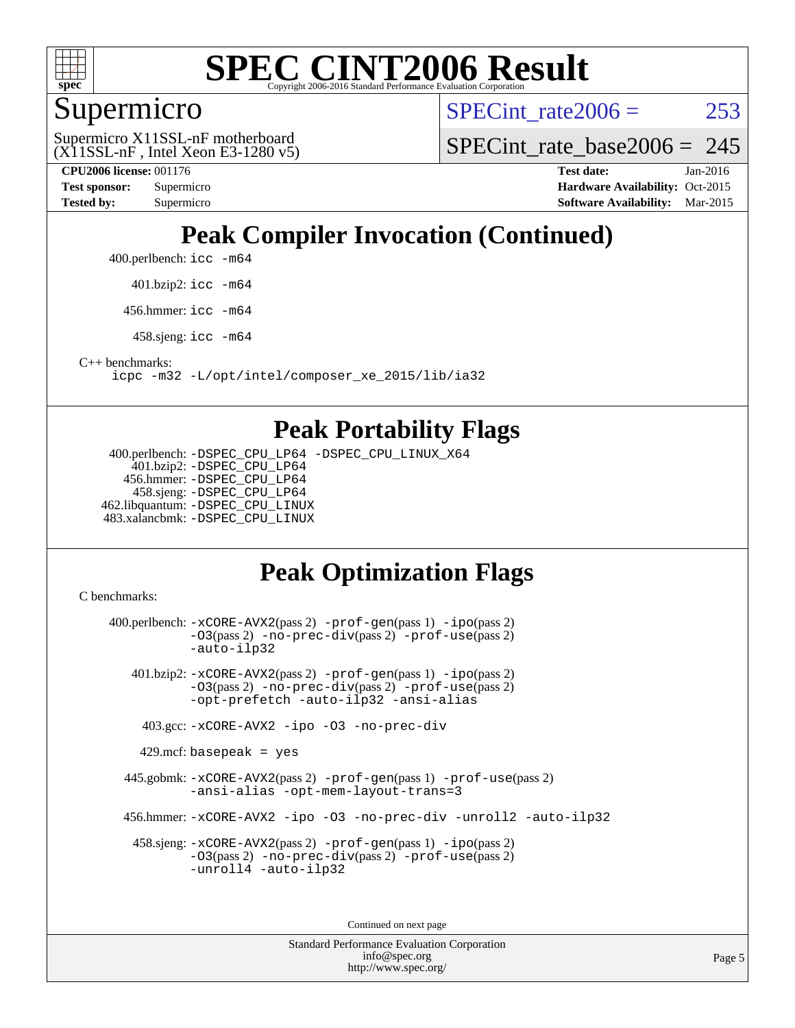

### Supermicro

SPECint rate $2006 = 253$ 

 $(X11SSL-nF,$  Intel Xeon E3-1280 v5) Supermicro X11SSL-nF motherboard

SPECint rate base2006 =  $245$ 

**[CPU2006 license:](http://www.spec.org/auto/cpu2006/Docs/result-fields.html#CPU2006license)** 001176 **[Test date:](http://www.spec.org/auto/cpu2006/Docs/result-fields.html#Testdate)** Jan-2016 **[Test sponsor:](http://www.spec.org/auto/cpu2006/Docs/result-fields.html#Testsponsor)** Supermicro Supermicro **[Hardware Availability:](http://www.spec.org/auto/cpu2006/Docs/result-fields.html#HardwareAvailability)** Oct-2015 **[Tested by:](http://www.spec.org/auto/cpu2006/Docs/result-fields.html#Testedby)** Supermicro **Supermicro [Software Availability:](http://www.spec.org/auto/cpu2006/Docs/result-fields.html#SoftwareAvailability)** Mar-2015

## **[Peak Compiler Invocation \(Continued\)](http://www.spec.org/auto/cpu2006/Docs/result-fields.html#PeakCompilerInvocation)**

400.perlbench: [icc -m64](http://www.spec.org/cpu2006/results/res2016q1/cpu2006-20160206-38993.flags.html#user_peakCCLD400_perlbench_intel_icc_64bit_bda6cc9af1fdbb0edc3795bac97ada53)

401.bzip2: [icc -m64](http://www.spec.org/cpu2006/results/res2016q1/cpu2006-20160206-38993.flags.html#user_peakCCLD401_bzip2_intel_icc_64bit_bda6cc9af1fdbb0edc3795bac97ada53)

456.hmmer: [icc -m64](http://www.spec.org/cpu2006/results/res2016q1/cpu2006-20160206-38993.flags.html#user_peakCCLD456_hmmer_intel_icc_64bit_bda6cc9af1fdbb0edc3795bac97ada53)

458.sjeng: [icc -m64](http://www.spec.org/cpu2006/results/res2016q1/cpu2006-20160206-38993.flags.html#user_peakCCLD458_sjeng_intel_icc_64bit_bda6cc9af1fdbb0edc3795bac97ada53)

[C++ benchmarks:](http://www.spec.org/auto/cpu2006/Docs/result-fields.html#CXXbenchmarks)

[icpc -m32 -L/opt/intel/composer\\_xe\\_2015/lib/ia32](http://www.spec.org/cpu2006/results/res2016q1/cpu2006-20160206-38993.flags.html#user_CXXpeak_intel_icpc_c2c99686a1a582c3e0de0b4806b02cea)

#### **[Peak Portability Flags](http://www.spec.org/auto/cpu2006/Docs/result-fields.html#PeakPortabilityFlags)**

 400.perlbench: [-DSPEC\\_CPU\\_LP64](http://www.spec.org/cpu2006/results/res2016q1/cpu2006-20160206-38993.flags.html#b400.perlbench_peakCPORTABILITY_DSPEC_CPU_LP64) [-DSPEC\\_CPU\\_LINUX\\_X64](http://www.spec.org/cpu2006/results/res2016q1/cpu2006-20160206-38993.flags.html#b400.perlbench_peakCPORTABILITY_DSPEC_CPU_LINUX_X64) 401.bzip2: [-DSPEC\\_CPU\\_LP64](http://www.spec.org/cpu2006/results/res2016q1/cpu2006-20160206-38993.flags.html#suite_peakCPORTABILITY401_bzip2_DSPEC_CPU_LP64) 456.hmmer: [-DSPEC\\_CPU\\_LP64](http://www.spec.org/cpu2006/results/res2016q1/cpu2006-20160206-38993.flags.html#suite_peakCPORTABILITY456_hmmer_DSPEC_CPU_LP64) 458.sjeng: [-DSPEC\\_CPU\\_LP64](http://www.spec.org/cpu2006/results/res2016q1/cpu2006-20160206-38993.flags.html#suite_peakCPORTABILITY458_sjeng_DSPEC_CPU_LP64) 462.libquantum: [-DSPEC\\_CPU\\_LINUX](http://www.spec.org/cpu2006/results/res2016q1/cpu2006-20160206-38993.flags.html#b462.libquantum_peakCPORTABILITY_DSPEC_CPU_LINUX) 483.xalancbmk: [-DSPEC\\_CPU\\_LINUX](http://www.spec.org/cpu2006/results/res2016q1/cpu2006-20160206-38993.flags.html#b483.xalancbmk_peakCXXPORTABILITY_DSPEC_CPU_LINUX)

## **[Peak Optimization Flags](http://www.spec.org/auto/cpu2006/Docs/result-fields.html#PeakOptimizationFlags)**

[C benchmarks](http://www.spec.org/auto/cpu2006/Docs/result-fields.html#Cbenchmarks):

 400.perlbench: [-xCORE-AVX2](http://www.spec.org/cpu2006/results/res2016q1/cpu2006-20160206-38993.flags.html#user_peakPASS2_CFLAGSPASS2_LDCFLAGS400_perlbench_f-xAVX2_5f5fc0cbe2c9f62c816d3e45806c70d7)(pass 2) [-prof-gen](http://www.spec.org/cpu2006/results/res2016q1/cpu2006-20160206-38993.flags.html#user_peakPASS1_CFLAGSPASS1_LDCFLAGS400_perlbench_prof_gen_e43856698f6ca7b7e442dfd80e94a8fc)(pass 1) [-ipo](http://www.spec.org/cpu2006/results/res2016q1/cpu2006-20160206-38993.flags.html#user_peakPASS2_CFLAGSPASS2_LDCFLAGS400_perlbench_f-ipo)(pass 2) [-O3](http://www.spec.org/cpu2006/results/res2016q1/cpu2006-20160206-38993.flags.html#user_peakPASS2_CFLAGSPASS2_LDCFLAGS400_perlbench_f-O3)(pass 2) [-no-prec-div](http://www.spec.org/cpu2006/results/res2016q1/cpu2006-20160206-38993.flags.html#user_peakPASS2_CFLAGSPASS2_LDCFLAGS400_perlbench_f-no-prec-div)(pass 2) [-prof-use](http://www.spec.org/cpu2006/results/res2016q1/cpu2006-20160206-38993.flags.html#user_peakPASS2_CFLAGSPASS2_LDCFLAGS400_perlbench_prof_use_bccf7792157ff70d64e32fe3e1250b55)(pass 2) [-auto-ilp32](http://www.spec.org/cpu2006/results/res2016q1/cpu2006-20160206-38993.flags.html#user_peakCOPTIMIZE400_perlbench_f-auto-ilp32) 401.bzip2: [-xCORE-AVX2](http://www.spec.org/cpu2006/results/res2016q1/cpu2006-20160206-38993.flags.html#user_peakPASS2_CFLAGSPASS2_LDCFLAGS401_bzip2_f-xAVX2_5f5fc0cbe2c9f62c816d3e45806c70d7)(pass 2) [-prof-gen](http://www.spec.org/cpu2006/results/res2016q1/cpu2006-20160206-38993.flags.html#user_peakPASS1_CFLAGSPASS1_LDCFLAGS401_bzip2_prof_gen_e43856698f6ca7b7e442dfd80e94a8fc)(pass 1) [-ipo](http://www.spec.org/cpu2006/results/res2016q1/cpu2006-20160206-38993.flags.html#user_peakPASS2_CFLAGSPASS2_LDCFLAGS401_bzip2_f-ipo)(pass 2) [-O3](http://www.spec.org/cpu2006/results/res2016q1/cpu2006-20160206-38993.flags.html#user_peakPASS2_CFLAGSPASS2_LDCFLAGS401_bzip2_f-O3)(pass 2) [-no-prec-div](http://www.spec.org/cpu2006/results/res2016q1/cpu2006-20160206-38993.flags.html#user_peakPASS2_CFLAGSPASS2_LDCFLAGS401_bzip2_f-no-prec-div)(pass 2) [-prof-use](http://www.spec.org/cpu2006/results/res2016q1/cpu2006-20160206-38993.flags.html#user_peakPASS2_CFLAGSPASS2_LDCFLAGS401_bzip2_prof_use_bccf7792157ff70d64e32fe3e1250b55)(pass 2) [-opt-prefetch](http://www.spec.org/cpu2006/results/res2016q1/cpu2006-20160206-38993.flags.html#user_peakCOPTIMIZE401_bzip2_f-opt-prefetch) [-auto-ilp32](http://www.spec.org/cpu2006/results/res2016q1/cpu2006-20160206-38993.flags.html#user_peakCOPTIMIZE401_bzip2_f-auto-ilp32) [-ansi-alias](http://www.spec.org/cpu2006/results/res2016q1/cpu2006-20160206-38993.flags.html#user_peakCOPTIMIZE401_bzip2_f-ansi-alias) 403.gcc: [-xCORE-AVX2](http://www.spec.org/cpu2006/results/res2016q1/cpu2006-20160206-38993.flags.html#user_peakCOPTIMIZE403_gcc_f-xAVX2_5f5fc0cbe2c9f62c816d3e45806c70d7) [-ipo](http://www.spec.org/cpu2006/results/res2016q1/cpu2006-20160206-38993.flags.html#user_peakCOPTIMIZE403_gcc_f-ipo) [-O3](http://www.spec.org/cpu2006/results/res2016q1/cpu2006-20160206-38993.flags.html#user_peakCOPTIMIZE403_gcc_f-O3) [-no-prec-div](http://www.spec.org/cpu2006/results/res2016q1/cpu2006-20160206-38993.flags.html#user_peakCOPTIMIZE403_gcc_f-no-prec-div)  $429$ .mcf: basepeak = yes 445.gobmk: [-xCORE-AVX2](http://www.spec.org/cpu2006/results/res2016q1/cpu2006-20160206-38993.flags.html#user_peakPASS2_CFLAGSPASS2_LDCFLAGS445_gobmk_f-xAVX2_5f5fc0cbe2c9f62c816d3e45806c70d7)(pass 2) [-prof-gen](http://www.spec.org/cpu2006/results/res2016q1/cpu2006-20160206-38993.flags.html#user_peakPASS1_CFLAGSPASS1_LDCFLAGS445_gobmk_prof_gen_e43856698f6ca7b7e442dfd80e94a8fc)(pass 1) [-prof-use](http://www.spec.org/cpu2006/results/res2016q1/cpu2006-20160206-38993.flags.html#user_peakPASS2_CFLAGSPASS2_LDCFLAGS445_gobmk_prof_use_bccf7792157ff70d64e32fe3e1250b55)(pass 2) [-ansi-alias](http://www.spec.org/cpu2006/results/res2016q1/cpu2006-20160206-38993.flags.html#user_peakCOPTIMIZE445_gobmk_f-ansi-alias) [-opt-mem-layout-trans=3](http://www.spec.org/cpu2006/results/res2016q1/cpu2006-20160206-38993.flags.html#user_peakCOPTIMIZE445_gobmk_f-opt-mem-layout-trans_a7b82ad4bd7abf52556d4961a2ae94d5) 456.hmmer: [-xCORE-AVX2](http://www.spec.org/cpu2006/results/res2016q1/cpu2006-20160206-38993.flags.html#user_peakCOPTIMIZE456_hmmer_f-xAVX2_5f5fc0cbe2c9f62c816d3e45806c70d7) [-ipo](http://www.spec.org/cpu2006/results/res2016q1/cpu2006-20160206-38993.flags.html#user_peakCOPTIMIZE456_hmmer_f-ipo) [-O3](http://www.spec.org/cpu2006/results/res2016q1/cpu2006-20160206-38993.flags.html#user_peakCOPTIMIZE456_hmmer_f-O3) [-no-prec-div](http://www.spec.org/cpu2006/results/res2016q1/cpu2006-20160206-38993.flags.html#user_peakCOPTIMIZE456_hmmer_f-no-prec-div) [-unroll2](http://www.spec.org/cpu2006/results/res2016q1/cpu2006-20160206-38993.flags.html#user_peakCOPTIMIZE456_hmmer_f-unroll_784dae83bebfb236979b41d2422d7ec2) [-auto-ilp32](http://www.spec.org/cpu2006/results/res2016q1/cpu2006-20160206-38993.flags.html#user_peakCOPTIMIZE456_hmmer_f-auto-ilp32) 458.sjeng: [-xCORE-AVX2](http://www.spec.org/cpu2006/results/res2016q1/cpu2006-20160206-38993.flags.html#user_peakPASS2_CFLAGSPASS2_LDCFLAGS458_sjeng_f-xAVX2_5f5fc0cbe2c9f62c816d3e45806c70d7)(pass 2) [-prof-gen](http://www.spec.org/cpu2006/results/res2016q1/cpu2006-20160206-38993.flags.html#user_peakPASS1_CFLAGSPASS1_LDCFLAGS458_sjeng_prof_gen_e43856698f6ca7b7e442dfd80e94a8fc)(pass 1) [-ipo](http://www.spec.org/cpu2006/results/res2016q1/cpu2006-20160206-38993.flags.html#user_peakPASS2_CFLAGSPASS2_LDCFLAGS458_sjeng_f-ipo)(pass 2) [-O3](http://www.spec.org/cpu2006/results/res2016q1/cpu2006-20160206-38993.flags.html#user_peakPASS2_CFLAGSPASS2_LDCFLAGS458_sjeng_f-O3)(pass 2) [-no-prec-div](http://www.spec.org/cpu2006/results/res2016q1/cpu2006-20160206-38993.flags.html#user_peakPASS2_CFLAGSPASS2_LDCFLAGS458_sjeng_f-no-prec-div)(pass 2) [-prof-use](http://www.spec.org/cpu2006/results/res2016q1/cpu2006-20160206-38993.flags.html#user_peakPASS2_CFLAGSPASS2_LDCFLAGS458_sjeng_prof_use_bccf7792157ff70d64e32fe3e1250b55)(pass 2) [-unroll4](http://www.spec.org/cpu2006/results/res2016q1/cpu2006-20160206-38993.flags.html#user_peakCOPTIMIZE458_sjeng_f-unroll_4e5e4ed65b7fd20bdcd365bec371b81f) [-auto-ilp32](http://www.spec.org/cpu2006/results/res2016q1/cpu2006-20160206-38993.flags.html#user_peakCOPTIMIZE458_sjeng_f-auto-ilp32)

Continued on next page

Standard Performance Evaluation Corporation [info@spec.org](mailto:info@spec.org) <http://www.spec.org/>